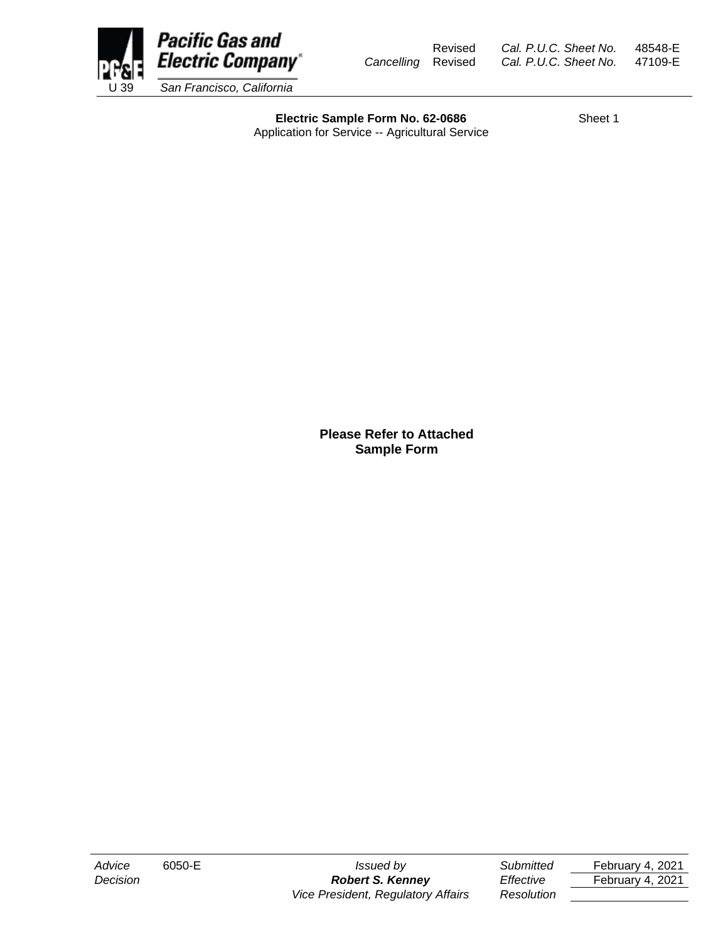

Revised *Cal. P.U.C. Sheet No.* 48548-E *Cancelling* Revised *Cal. P.U.C. Sheet No.* 47109-E

**Electric Sample Form No. 62-0686** Sheet 1 Application for Service -- Agricultural Service

> **Please Refer to Attached Sample Form**

*Advice* 6050-E *Issued by Submitted* February 4, 2021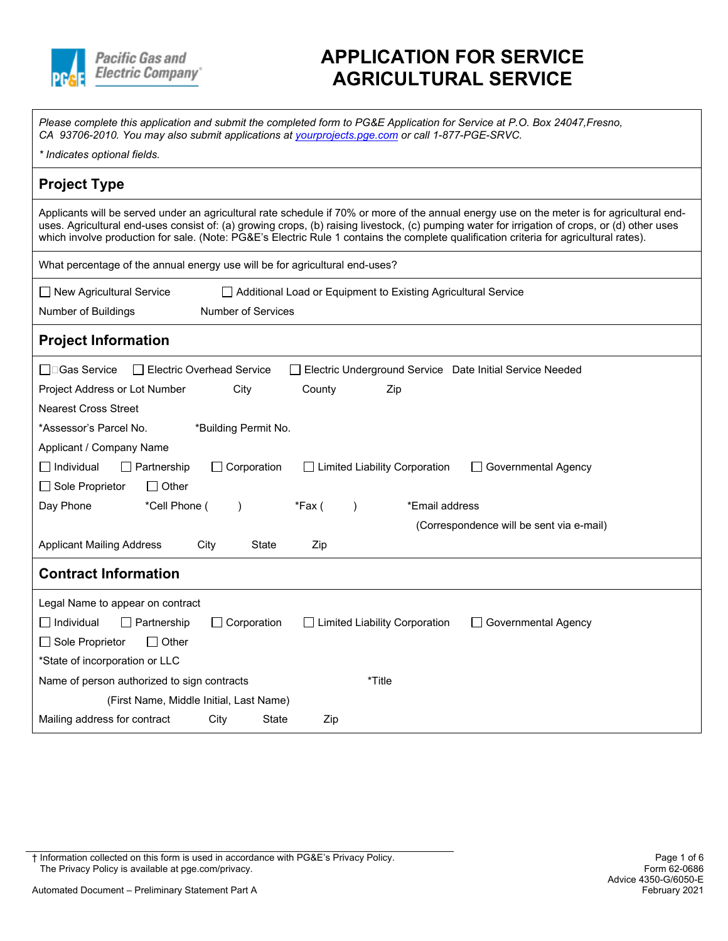

## **APPLICATION FOR SERVICE AGRICULTURAL SERVICE**

*Please complete this application and submit the completed form to PG&E Application for Service at P.O. Box 24047,Fresno, CA 93706-2010. You may also submit applications at [yourprojects.pge.com](https://yourprojects-pge.com) or call 1-877-PGE-SRVC.* 

#### **Project Type**

Applicants will be served under an agricultural rate schedule if 70% or more of the annual energy use on the meter is for agricultural enduses. Agricultural end-uses consist of: (a) growing crops, (b) raising livestock, (c) pumping water for irrigation of crops, or (d) other uses which involve production for sale. (Note: PG&E's Electric Rule 1 contains the complete qualification criteria for agricultural rates).

|                                          | What percentage of the annual energy use will be for agricultural end-uses? |
|------------------------------------------|-----------------------------------------------------------------------------|
| $\Box$ New Agricultural Service          | Additional Load or Equipment to Existing Agricultural Service               |
| المتماس المراقبات الكساس مستملح ومستنابا | Number of Company                                                           |

Number of Buildings Number of Services

#### **Project Information**

| □□Gas Service                               | Electric Overhead Service |        |                                      | Electric Underground Service Date Initial Service Needed |
|---------------------------------------------|---------------------------|--------|--------------------------------------|----------------------------------------------------------|
| Project Address or Lot Number               | City                      | County | Zip                                  |                                                          |
| <b>Nearest Cross Street</b>                 |                           |        |                                      |                                                          |
| *Assessor's Parcel No.                      | *Building Permit No.      |        |                                      |                                                          |
| Applicant / Company Name                    |                           |        |                                      |                                                          |
| $\Box$ Individual<br>Partnership            | $\Box$ Corporation        |        | <b>Limited Liability Corporation</b> | Governmental Agency                                      |
| Sole Proprietor<br>$\Box$ Other             |                           |        |                                      |                                                          |
| Day Phone<br>*Cell Phone (                  |                           | *Fax ( | *Email address                       |                                                          |
|                                             |                           |        |                                      | (Correspondence will be sent via e-mail)                 |
| <b>Applicant Mailing Address</b>            | City<br><b>State</b>      | Zip    |                                      |                                                          |
| <b>Contract Information</b>                 |                           |        |                                      |                                                          |
| Legal Name to appear on contract            |                           |        |                                      |                                                          |
| $\Box$ Individual<br>Partnership            | $\Box$ Corporation        |        | $\Box$ Limited Liability Corporation | Governmental Agency                                      |
| $\Box$ Sole Proprietor<br>$\Box$ Other      |                           |        |                                      |                                                          |
| *State of incorporation or LLC              |                           |        |                                      |                                                          |
| Name of person authorized to sign contracts |                           |        | *Title                               |                                                          |
| (First Name, Middle Initial, Last Name)     |                           |        |                                      |                                                          |
| Mailing address for contract                | City<br>State             | Zip    |                                      |                                                          |

† Information collected on this form is used in accordance with PG&E's Privacy Policy. Page 1 of 6 The Privacy Policy is available at pge.com/privacy.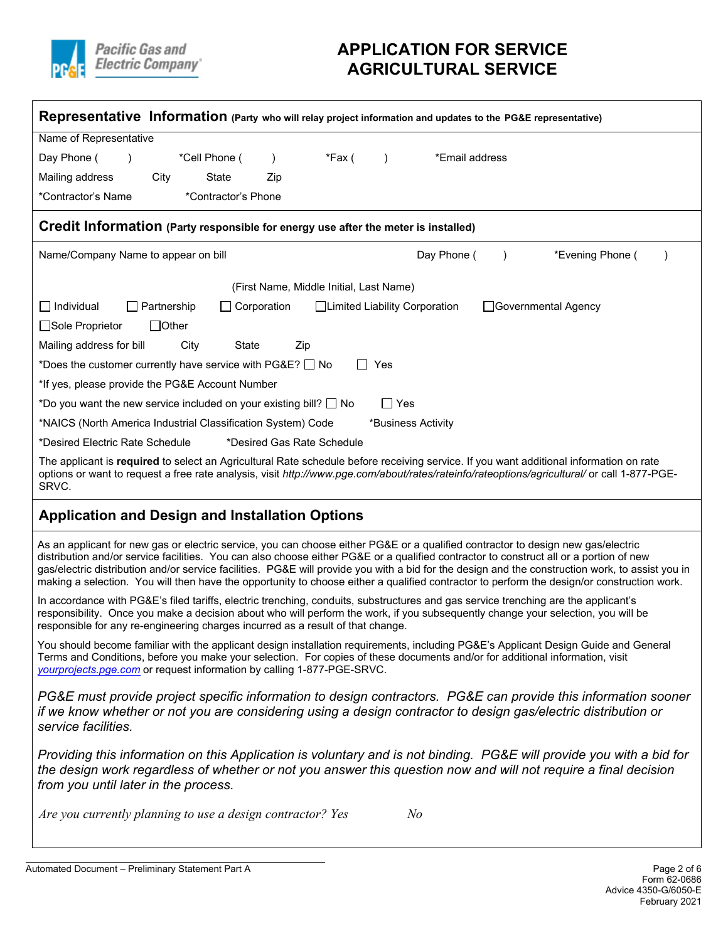

## **APPLICATION FOR SERVICE AGRICULTURAL SERVICE**

| Representative Information (Party who will relay project information and updates to the PG&E representative)                                                                                                                                                                                                                                                                                                                                                                                                                                                                 |
|------------------------------------------------------------------------------------------------------------------------------------------------------------------------------------------------------------------------------------------------------------------------------------------------------------------------------------------------------------------------------------------------------------------------------------------------------------------------------------------------------------------------------------------------------------------------------|
| Name of Representative                                                                                                                                                                                                                                                                                                                                                                                                                                                                                                                                                       |
| Day Phone (<br>*Cell Phone (<br>*Fax (<br>*Email address                                                                                                                                                                                                                                                                                                                                                                                                                                                                                                                     |
| Mailing address<br>City<br>State<br>Zip                                                                                                                                                                                                                                                                                                                                                                                                                                                                                                                                      |
| *Contractor's Phone<br>*Contractor's Name                                                                                                                                                                                                                                                                                                                                                                                                                                                                                                                                    |
| Credit Information (Party responsible for energy use after the meter is installed)                                                                                                                                                                                                                                                                                                                                                                                                                                                                                           |
| Day Phone (<br>*Evening Phone (<br>Name/Company Name to appear on bill<br>$\lambda$                                                                                                                                                                                                                                                                                                                                                                                                                                                                                          |
| (First Name, Middle Initial, Last Name)                                                                                                                                                                                                                                                                                                                                                                                                                                                                                                                                      |
| $\Box$ Individual<br>$\Box$ Partnership<br>Corporation<br>□Limited Liability Corporation<br>□Governmental Agency                                                                                                                                                                                                                                                                                                                                                                                                                                                             |
| □Sole Proprietor<br>$\Box$ Other                                                                                                                                                                                                                                                                                                                                                                                                                                                                                                                                             |
| Mailing address for bill<br>City<br>State<br>Zip                                                                                                                                                                                                                                                                                                                                                                                                                                                                                                                             |
| *Does the customer currently have service with $PG&E?$ $\Box$ No<br>$\Box$ Yes                                                                                                                                                                                                                                                                                                                                                                                                                                                                                               |
| *If yes, please provide the PG&E Account Number                                                                                                                                                                                                                                                                                                                                                                                                                                                                                                                              |
| *Do you want the new service included on your existing bill? $\Box$ No<br>$\Box$ Yes                                                                                                                                                                                                                                                                                                                                                                                                                                                                                         |
| *NAICS (North America Industrial Classification System) Code<br>*Business Activity                                                                                                                                                                                                                                                                                                                                                                                                                                                                                           |
| *Desired Electric Rate Schedule<br>*Desired Gas Rate Schedule                                                                                                                                                                                                                                                                                                                                                                                                                                                                                                                |
| The applicant is required to select an Agricultural Rate schedule before receiving service. If you want additional information on rate<br>options or want to request a free rate analysis, visit http://www.pge.com/about/rates/rateinfo/rateoptions/agricultural/ or call 1-877-PGE-<br>SRVC.                                                                                                                                                                                                                                                                               |
| <b>Application and Design and Installation Options</b>                                                                                                                                                                                                                                                                                                                                                                                                                                                                                                                       |
| As an applicant for new gas or electric service, you can choose either PG&E or a qualified contractor to design new gas/electric<br>distribution and/or service facilities. You can also choose either PG&E or a qualified contractor to construct all or a portion of new<br>gas/electric distribution and/or service facilities. PG&E will provide you with a bid for the design and the construction work, to assist you in<br>making a selection. You will then have the opportunity to choose either a qualified contractor to perform the design/or construction work. |
| In accordance with PG&E's filed tariffs, electric trenching, conduits, substructures and gas service trenching are the applicant's<br>responsibility. Once you make a decision about who will perform the work, if you subsequently change your selection, you will be<br>responsible for any re-engineering charges incurred as a result of that change.                                                                                                                                                                                                                    |
| You should become familiar with the applicant design installation requirements, including PG&E's Applicant Design Guide and General<br>Terms and Conditions, before you make your selection. For copies of these documents and/or for additional information, visit<br>yourprojects.pge.com or request information by calling 1-877-PGE-SRVC.                                                                                                                                                                                                                                |
| PG&E must provide project specific information to design contractors. PG&E can provide this information sooner<br>if we know whether or not you are considering using a design contractor to design gas/electric distribution or<br>service facilities.                                                                                                                                                                                                                                                                                                                      |
| Providing this information on this Application is voluntary and is not binding. PG&E will provide you with a bid for<br>the design work regardless of whether or not you answer this question now and will not require a final decision<br>from you until later in the process.                                                                                                                                                                                                                                                                                              |
| Are you currently planning to use a design contractor? Yes<br>$N$ o                                                                                                                                                                                                                                                                                                                                                                                                                                                                                                          |
|                                                                                                                                                                                                                                                                                                                                                                                                                                                                                                                                                                              |

Automated Document - Preliminary Statement Part A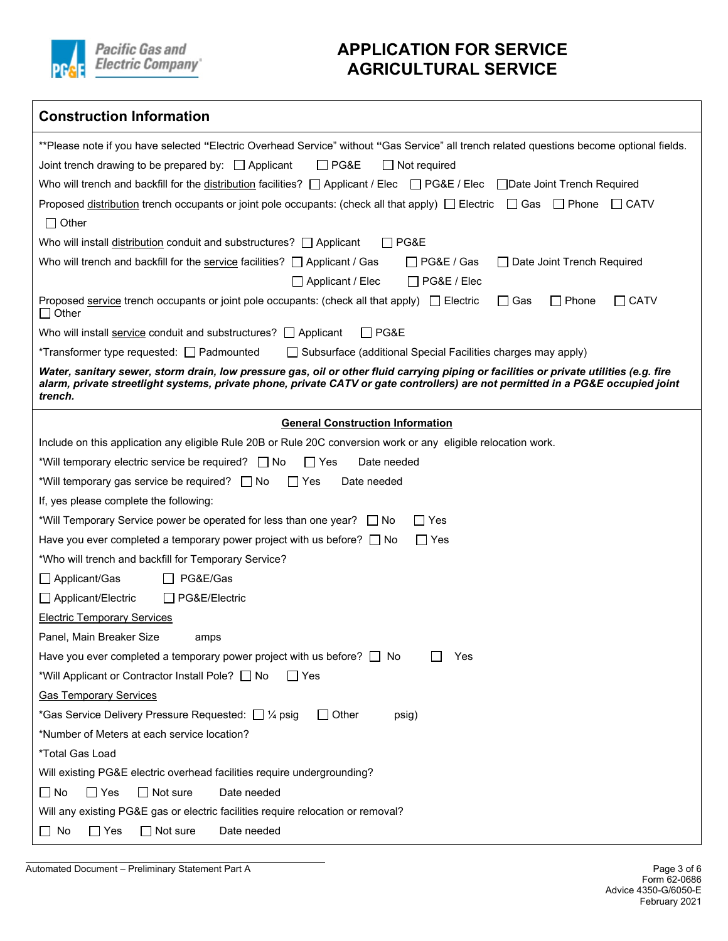

## **APPLICATION FOR SERVICE AGRICULTURAL SERVICE**

| <b>Construction Information</b>                                                                                                                                                                                                                                                      |
|--------------------------------------------------------------------------------------------------------------------------------------------------------------------------------------------------------------------------------------------------------------------------------------|
| **Please note if you have selected "Electric Overhead Service" without "Gas Service" all trench related questions become optional fields.                                                                                                                                            |
| Joint trench drawing to be prepared by: $\Box$ Applicant<br>$\Box$ PG&E<br>  Not required                                                                                                                                                                                            |
| Who will trench and backfill for the distribution facilities? $\Box$ Applicant / Elec $\Box$ PG&E / Elec<br>□ Date Joint Trench Required                                                                                                                                             |
| Proposed distribution trench occupants or joint pole occupants: (check all that apply) $\Box$ Electric $\Box$ Gas $\Box$ Phone $\Box$ CATV<br>$\Box$ Other                                                                                                                           |
| Who will install distribution conduit and substructures? $\Box$ Applicant<br>$\Box$ PG&E                                                                                                                                                                                             |
| Who will trench and backfill for the service facilities? $\Box$ Applicant / Gas<br>$\Box$ PG&E / Gas<br>□ Date Joint Trench Required<br>□ Applicant / Elec<br>PG&E / Elec                                                                                                            |
| $\Box$ Phone<br>$\Box$ CATV<br>Proposed service trench occupants or joint pole occupants: (check all that apply) $\Box$ Electric<br>$\Box$ Gas<br>$\Box$ Other                                                                                                                       |
| Who will install service conduit and substructures? $\Box$ Applicant<br>$\Box$ PG&E                                                                                                                                                                                                  |
| *Transformer type requested: <u>Q</u> Padmounted<br>Subsurface (additional Special Facilities charges may apply)                                                                                                                                                                     |
| Water, sanitary sewer, storm drain, low pressure gas, oil or other fluid carrying piping or facilities or private utilities (e.g. fire<br>alarm, private streetlight systems, private phone, private CATV or gate controllers) are not permitted in a PG&E occupied joint<br>trench. |
| <b>General Construction Information</b>                                                                                                                                                                                                                                              |
| Include on this application any eligible Rule 20B or Rule 20C conversion work or any eligible relocation work.                                                                                                                                                                       |
| *Will temporary electric service be required? No<br>∏ Yes<br>Date needed                                                                                                                                                                                                             |
| Date needed<br>*Will temporary gas service be required? $\Box$ No<br>∣∣Yes                                                                                                                                                                                                           |
| If, yes please complete the following:                                                                                                                                                                                                                                               |
| *Will Temporary Service power be operated for less than one year? □ No<br>$\Box$ Yes                                                                                                                                                                                                 |
| Have you ever completed a temporary power project with us before? $\Box$ No<br>$\Box$ Yes                                                                                                                                                                                            |
| *Who will trench and backfill for Temporary Service?                                                                                                                                                                                                                                 |
| Applicant/Gas<br>□ PG&E/Gas                                                                                                                                                                                                                                                          |
| Applicant/Electric<br>□ PG&E/Electric                                                                                                                                                                                                                                                |
| <b>Electric Temporary Services</b>                                                                                                                                                                                                                                                   |
| Panel, Main Breaker Size<br>amps                                                                                                                                                                                                                                                     |
| Have you ever completed a temporary power project with us before? $\Box$ No<br>Yes                                                                                                                                                                                                   |
| *Will Applicant or Contractor Install Pole? □ No<br>$\Box$ Yes                                                                                                                                                                                                                       |
| <b>Gas Temporary Services</b>                                                                                                                                                                                                                                                        |
| *Gas Service Delivery Pressure Requested: [ $\frac{1}{4}$ psig<br>$\Box$ Other<br>psig)                                                                                                                                                                                              |
| *Number of Meters at each service location?                                                                                                                                                                                                                                          |
| *Total Gas Load                                                                                                                                                                                                                                                                      |
| Will existing PG&E electric overhead facilities require undergrounding?                                                                                                                                                                                                              |
| Date needed<br>$\Box$ No<br>$\Box$ Yes<br>$\Box$ Not sure                                                                                                                                                                                                                            |
| Will any existing PG&E gas or electric facilities require relocation or removal?                                                                                                                                                                                                     |
| $\Box$ No<br>$\Box$ Not sure<br>Date needed<br>$\Box$ Yes                                                                                                                                                                                                                            |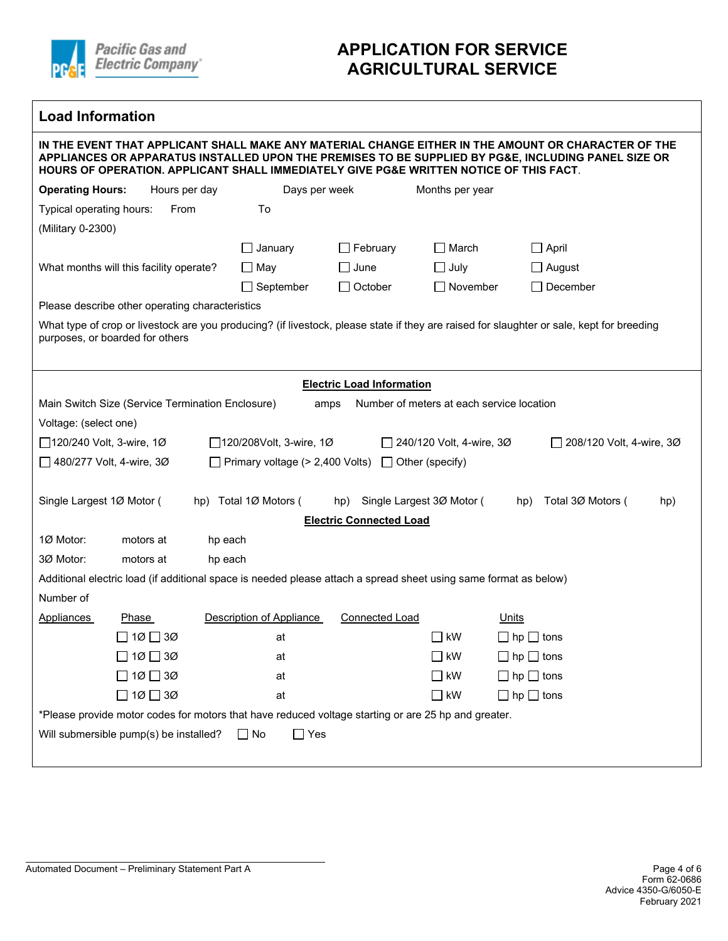

 $\mathsf{r}$ 

## **APPLICATION FOR SERVICE AGRICULTURAL SERVICE**

| <b>Load Information</b>    |                                                  |         |                                                                                                                  |                                  |                                           |                                                                                                                                                                                                                                                                                                      |
|----------------------------|--------------------------------------------------|---------|------------------------------------------------------------------------------------------------------------------|----------------------------------|-------------------------------------------|------------------------------------------------------------------------------------------------------------------------------------------------------------------------------------------------------------------------------------------------------------------------------------------------------|
|                            |                                                  |         |                                                                                                                  |                                  |                                           | IN THE EVENT THAT APPLICANT SHALL MAKE ANY MATERIAL CHANGE EITHER IN THE AMOUNT OR CHARACTER OF THE<br>APPLIANCES OR APPARATUS INSTALLED UPON THE PREMISES TO BE SUPPLIED BY PG&E, INCLUDING PANEL SIZE OR<br>HOURS OF OPERATION. APPLICANT SHALL IMMEDIATELY GIVE PG&E WRITTEN NOTICE OF THIS FACT. |
| <b>Operating Hours:</b>    | Hours per day                                    |         | Days per week                                                                                                    |                                  | Months per year                           |                                                                                                                                                                                                                                                                                                      |
| Typical operating hours:   | From                                             |         | To                                                                                                               |                                  |                                           |                                                                                                                                                                                                                                                                                                      |
| (Military 0-2300)          |                                                  |         |                                                                                                                  |                                  |                                           |                                                                                                                                                                                                                                                                                                      |
|                            |                                                  |         | January                                                                                                          | $\Box$ February                  | $\Box$ March                              | $\Box$ April                                                                                                                                                                                                                                                                                         |
|                            | What months will this facility operate?          |         | ∐ May                                                                                                            | $\Box$ June                      | $\Box$ July                               | $\Box$ August                                                                                                                                                                                                                                                                                        |
|                            |                                                  |         | $\Box$ September                                                                                                 | $\Box$ October                   | $\Box$ November                           | $\Box$ December                                                                                                                                                                                                                                                                                      |
|                            | Please describe other operating characteristics  |         |                                                                                                                  |                                  |                                           |                                                                                                                                                                                                                                                                                                      |
|                            | purposes, or boarded for others                  |         |                                                                                                                  |                                  |                                           | What type of crop or livestock are you producing? (if livestock, please state if they are raised for slaughter or sale, kept for breeding                                                                                                                                                            |
|                            |                                                  |         |                                                                                                                  | <b>Electric Load Information</b> |                                           |                                                                                                                                                                                                                                                                                                      |
|                            | Main Switch Size (Service Termination Enclosure) |         | amps                                                                                                             |                                  | Number of meters at each service location |                                                                                                                                                                                                                                                                                                      |
| Voltage: (select one)      |                                                  |         |                                                                                                                  |                                  |                                           |                                                                                                                                                                                                                                                                                                      |
| □ 120/240 Volt, 3-wire, 1Ø |                                                  |         | □ 120/208Volt, 3-wire, 1Ø                                                                                        |                                  | 240/120 Volt, 4-wire, 3Ø                  | $\Box$ 208/120 Volt, 4-wire, 3Ø                                                                                                                                                                                                                                                                      |
| □ 480/277 Volt, 4-wire, 3Ø |                                                  |         | $\Box$ Primary voltage (> 2,400 Volts) $\Box$                                                                    |                                  | Other (specify)                           |                                                                                                                                                                                                                                                                                                      |
|                            |                                                  |         |                                                                                                                  |                                  |                                           |                                                                                                                                                                                                                                                                                                      |
| Single Largest 1Ø Motor (  |                                                  |         | hp) Total 1Ø Motors (                                                                                            | hp)                              | Single Largest 3Ø Motor (                 | Total 3Ø Motors (<br>hp)<br>hp)                                                                                                                                                                                                                                                                      |
|                            |                                                  |         |                                                                                                                  | <b>Electric Connected Load</b>   |                                           |                                                                                                                                                                                                                                                                                                      |
| 1Ø Motor:                  | motors at                                        | hp each |                                                                                                                  |                                  |                                           |                                                                                                                                                                                                                                                                                                      |
| 3Ø Motor:                  | motors at                                        | hp each |                                                                                                                  |                                  |                                           |                                                                                                                                                                                                                                                                                                      |
|                            |                                                  |         | Additional electric load (if additional space is needed please attach a spread sheet using same format as below) |                                  |                                           |                                                                                                                                                                                                                                                                                                      |
| Number of                  |                                                  |         |                                                                                                                  |                                  |                                           |                                                                                                                                                                                                                                                                                                      |
| <b>Appliances</b>          | <b>Phase</b>                                     |         | Description of Appliance                                                                                         | <b>Connected Load</b>            |                                           | Units                                                                                                                                                                                                                                                                                                |
|                            | 1Ø □ 3Ø                                          |         | at                                                                                                               |                                  | $\_$ kW                                   | $\Box$ hp $\Box$ tons                                                                                                                                                                                                                                                                                |
|                            | ∃ 1Ø ⊟ 3Ø                                        |         | at                                                                                                               |                                  | $\Box$ kW                                 | $\Box$ hp $\Box$ tons                                                                                                                                                                                                                                                                                |
|                            | $10 \square 30$                                  |         | at                                                                                                               |                                  | $\Box$ kW                                 | $\Box$ hp $\Box$ tons                                                                                                                                                                                                                                                                                |
|                            | $\Box$ 10 $\Box$ 30                              |         | at                                                                                                               |                                  | $\Box$ kW                                 | $\Box$ hp $\Box$ tons                                                                                                                                                                                                                                                                                |
|                            |                                                  |         | *Please provide motor codes for motors that have reduced voltage starting or are 25 hp and greater.              |                                  |                                           |                                                                                                                                                                                                                                                                                                      |
|                            | Will submersible pump(s) be installed?           |         | $\Box$ No<br>$\Box$ Yes                                                                                          |                                  |                                           |                                                                                                                                                                                                                                                                                                      |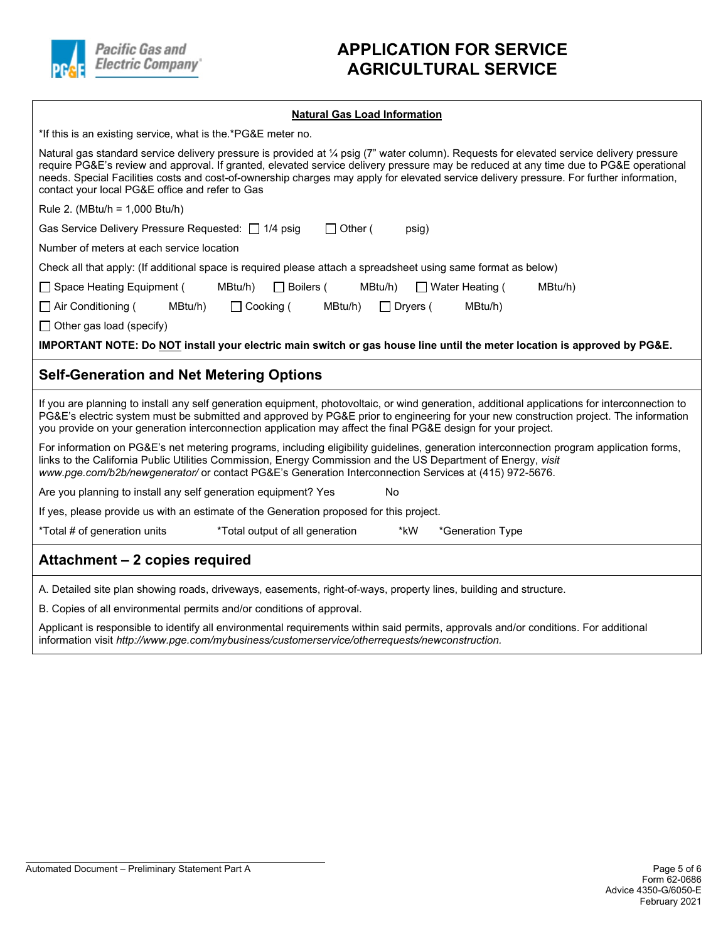

## **APPLICATION FOR SERVICE AGRICULTURAL SERVICE**

#### **Natural Gas Load Information**

| *If this is an existing service, what is the *PG&E meter no.                                                                                                                                                                                                                                                                                                                                                                                                                      |
|-----------------------------------------------------------------------------------------------------------------------------------------------------------------------------------------------------------------------------------------------------------------------------------------------------------------------------------------------------------------------------------------------------------------------------------------------------------------------------------|
| Natural gas standard service delivery pressure is provided at 1/4 psig (7" water column). Requests for elevated service delivery pressure<br>require PG&E's review and approval. If granted, elevated service delivery pressure may be reduced at any time due to PG&E operational<br>needs. Special Facilities costs and cost-of-ownership charges may apply for elevated service delivery pressure. For further information,<br>contact your local PG&E office and refer to Gas |
| Rule 2. (MBtu/h = $1,000$ Btu/h)                                                                                                                                                                                                                                                                                                                                                                                                                                                  |
| Gas Service Delivery Pressure Requested: □ 1/4 psig<br>$\Box$ Other (<br>psig)                                                                                                                                                                                                                                                                                                                                                                                                    |
| Number of meters at each service location                                                                                                                                                                                                                                                                                                                                                                                                                                         |
| Check all that apply: (If additional space is required please attach a spreadsheet using same format as below)                                                                                                                                                                                                                                                                                                                                                                    |
| $\Box$ Boilers (<br>□ Space Heating Equipment (<br>MBtu/h)<br>MBtu/h)<br>$\Box$ Water Heating (<br>MBtu/h)                                                                                                                                                                                                                                                                                                                                                                        |
| $\Box$ Cooking (<br>$\Box$ Air Conditioning (<br>MBtu/h)<br>MBtu/h)<br>$\Box$ Dryers (<br>MBtu/h)                                                                                                                                                                                                                                                                                                                                                                                 |
| $\Box$ Other gas load (specify)                                                                                                                                                                                                                                                                                                                                                                                                                                                   |
| IMPORTANT NOTE: Do NOT install your electric main switch or gas house line until the meter location is approved by PG&E.                                                                                                                                                                                                                                                                                                                                                          |
|                                                                                                                                                                                                                                                                                                                                                                                                                                                                                   |
| <b>Self-Generation and Net Metering Options</b>                                                                                                                                                                                                                                                                                                                                                                                                                                   |
| If you are planning to install any self generation equipment, photovoltaic, or wind generation, additional applications for interconnection to<br>PG&E's electric system must be submitted and approved by PG&E prior to engineering for your new construction project. The information<br>you provide on your generation interconnection application may affect the final PG&E design for your project.                                                                          |
| For information on PG&E's net metering programs, including eligibility guidelines, generation interconnection program application forms,<br>links to the California Public Utilities Commission, Energy Commission and the US Department of Energy, visit<br>www.pge.com/b2b/newgenerator/ or contact PG&E's Generation Interconnection Services at (415) 972-5676.                                                                                                               |
| Are you planning to install any self generation equipment? Yes<br>No                                                                                                                                                                                                                                                                                                                                                                                                              |
| If yes, please provide us with an estimate of the Generation proposed for this project.                                                                                                                                                                                                                                                                                                                                                                                           |
| *Total # of generation units<br>*Total output of all generation<br>*kW<br>*Generation Type                                                                                                                                                                                                                                                                                                                                                                                        |
| Attachment - 2 copies required                                                                                                                                                                                                                                                                                                                                                                                                                                                    |

B. Copies of all environmental permits and/or conditions of approval.

Applicant is responsible to identify all environmental requirements within said permits, approvals and/or conditions. For additional information visit *http://www.pge.com/mybusiness/customerservice/otherrequests/newconstruction.*